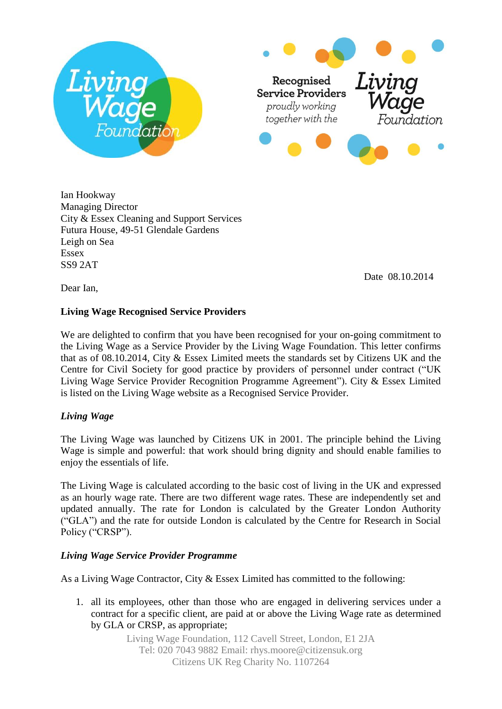



Ian Hookway Managing Director City & Essex Cleaning and Support Services Futura House, 49-51 Glendale Gardens Leigh on Sea Essex SS9 2AT

Date 08.10.2014

Dear Ian,

## **Living Wage Recognised Service Providers**

We are delighted to confirm that you have been recognised for your on-going commitment to the Living Wage as a Service Provider by the Living Wage Foundation. This letter confirms that as of 08.10.2014, City & Essex Limited meets the standards set by Citizens UK and the Centre for Civil Society for good practice by providers of personnel under contract ("UK Living Wage Service Provider Recognition Programme Agreement"). City & Essex Limited is listed on the Living Wage website as a Recognised Service Provider.

## *Living Wage*

The Living Wage was launched by Citizens UK in 2001. The principle behind the Living Wage is simple and powerful: that work should bring dignity and should enable families to enjoy the essentials of life.

The Living Wage is calculated according to the basic cost of living in the UK and expressed as an hourly wage rate. There are two different wage rates. These are independently set and updated annually. The rate for London is calculated by the Greater London Authority ("GLA") and the rate for outside London is calculated by the Centre for Research in Social Policy ("CRSP").

## *Living Wage Service Provider Programme*

As a Living Wage Contractor, City & Essex Limited has committed to the following:

1. all its employees, other than those who are engaged in delivering services under a contract for a specific client, are paid at or above the Living Wage rate as determined by GLA or CRSP, as appropriate;

> Living Wage Foundation, 112 Cavell Street, London, E1 2JA Tel: 020 7043 9882 Email: rhys.moore@citizensuk.org Citizens UK Reg Charity No. 1107264